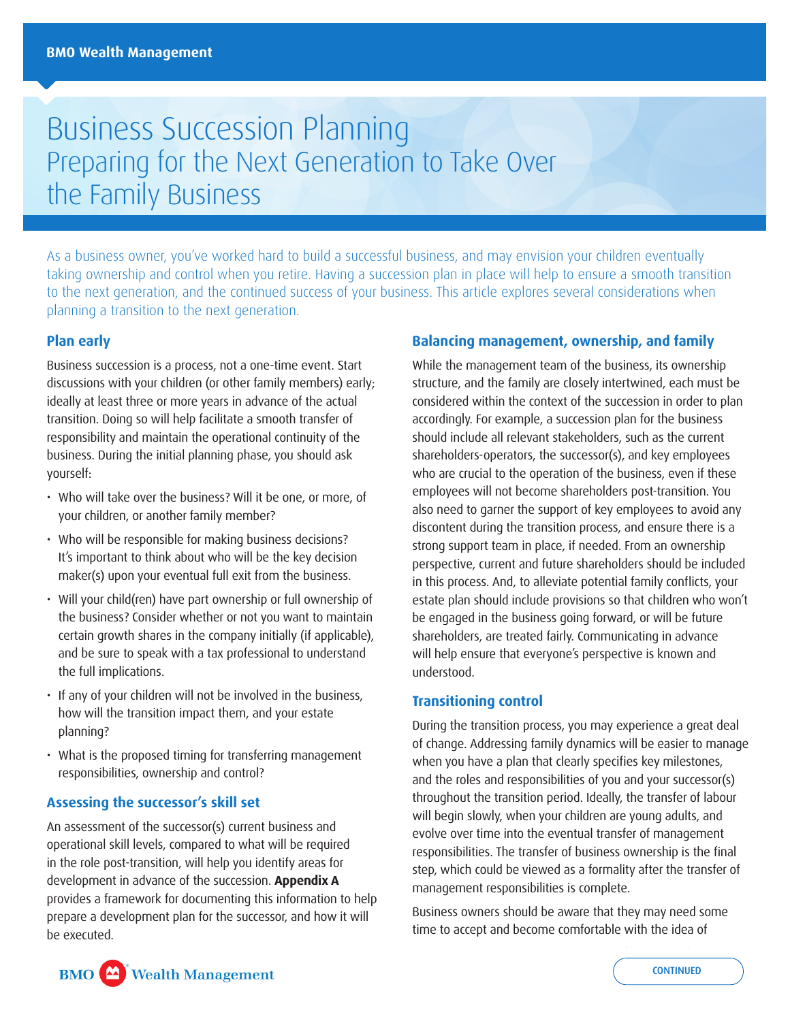# Business Succession Planning Preparing for the Next Generation to Take Over the Family Business

As a business owner, you've worked hard to build a successful business, and may envision your children eventually taking ownership and control when you retire. Having a succession plan in place will help to ensure a smooth transition to the next generation, and the continued success of your business. This article explores several considerations when planning a transition to the next generation.

### **Plan early**

Business succession is a process, not a one-time event. Start discussions with your children (or other family members) early; ideally at least three or more years in advance of the actual transition. Doing so will help facilitate a smooth transfer of responsibility and maintain the operational continuity of the business. During the initial planning phase, you should ask yourself:

- Who will take over the business? Will it be one, or more, of your children, or another family member?
- Who will be responsible for making business decisions? It's important to think about who will be the key decision maker(s) upon your eventual full exit from the business.
- Will your child(ren) have part ownership or full ownership of the business? Consider whether or not you want to maintain certain growth shares in the company initially (if applicable), and be sure to speak with a tax professional to understand the full implications.
- If any of your children will not be involved in the business, how will the transition impact them, and your estate planning?
- What is the proposed timing for transferring management responsibilities, ownership and control?

# **Assessing the successor's skill set**

An assessment of the successor(s) current business and operational skill levels, compared to what will be required in the role post-transition, will help you identify areas for development in advance of the succession. **Appendix A**  provides a framework for documenting this information to help prepare a development plan for the successor, and how it will be executed.

#### **Balancing management, ownership, and family**

While the management team of the business, its ownership structure, and the family are closely intertwined, each must be considered within the context of the succession in order to plan accordingly. For example, a succession plan for the business should include all relevant stakeholders, such as the current shareholders-operators, the successor(s), and key employees who are crucial to the operation of the business, even if these employees will not become shareholders post-transition. You also need to garner the support of key employees to avoid any discontent during the transition process, and ensure there is a strong support team in place, if needed. From an ownership perspective, current and future shareholders should be included in this process. And, to alleviate potential family conflicts, your estate plan should include provisions so that children who won't be engaged in the business going forward, or will be future shareholders, are treated fairly. Communicating in advance will help ensure that everyone's perspective is known and understood.

#### **Transitioning control**

During the transition process, you may experience a great deal of change. Addressing family dynamics will be easier to manage when you have a plan that clearly specifies key milestones, and the roles and responsibilities of you and your successor(s) throughout the transition period. Ideally, the transfer of labour will begin slowly, when your children are young adults, and evolve over time into the eventual transfer of management responsibilities. The transfer of business ownership is the final step, which could be viewed as a formality after the transfer of management responsibilities is complete.

Business owners should be aware that they may need some time to accept and become comfortable with the idea of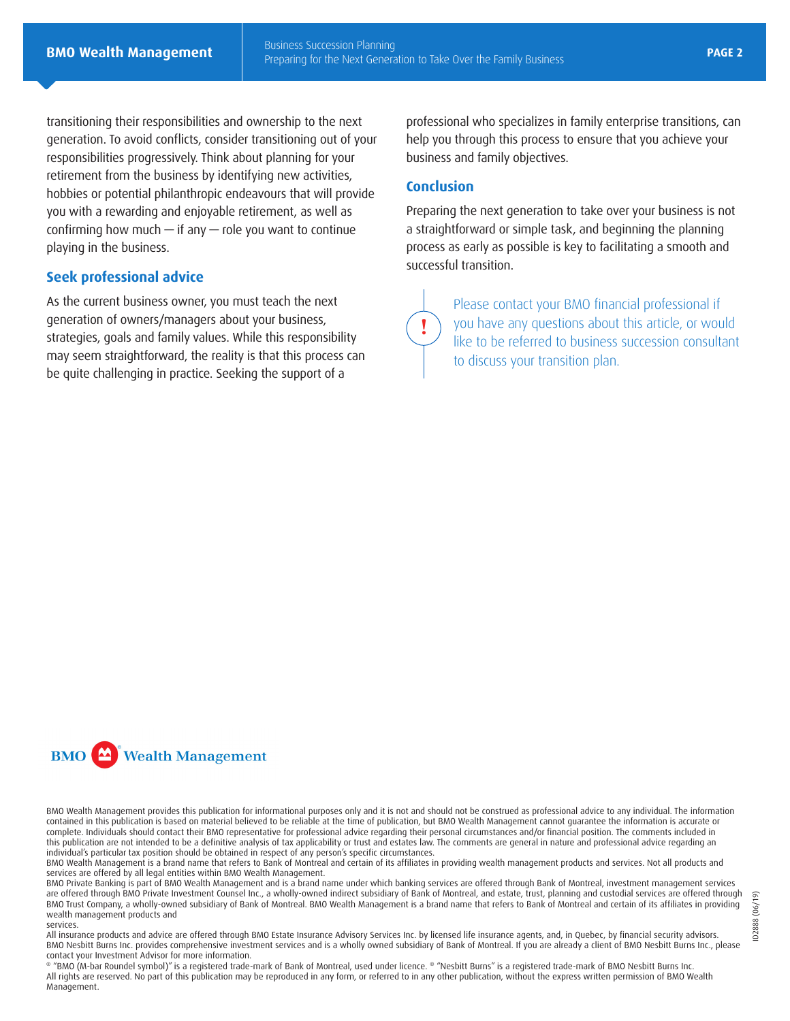transitioning their responsibilities and ownership to the next generation. To avoid conflicts, consider transitioning out of your responsibilities progressively. Think about planning for your retirement from the business by identifying new activities, hobbies or potential philanthropic endeavours that will provide you with a rewarding and enjoyable retirement, as well as confirming how much  $-$  if any  $-$  role you want to continue playing in the business.

#### **Seek professional advice**

As the current business owner, you must teach the next generation of owners/managers about your business, strategies, goals and family values. While this responsibility may seem straightforward, the reality is that this process can be quite challenging in practice. Seeking the support of a

professional who specializes in family enterprise transitions, can help you through this process to ensure that you achieve your business and family objectives.

#### **Conclusion**

**!**

Preparing the next generation to take over your business is not a straightforward or simple task, and beginning the planning process as early as possible is key to facilitating a smooth and successful transition.

> Please contact your BMO financial professional if you have any questions about this article, or would like to be referred to business succession consultant to discuss your transition plan.

**BMO** Wealth Management

BMO Wealth Management provides this publication for informational purposes only and it is not and should not be construed as professional advice to any individual. The information contained in this publication is based on material believed to be reliable at the time of publication, but BMO Wealth Management cannot guarantee the information is accurate or complete. Individuals should contact their BMO representative for professional advice regarding their personal circumstances and/or financial position. The comments included in this publication are not intended to be a definitive analysis of tax applicability or trust and estates law. The comments are general in nature and professional advice regarding an individual's particular tax position should be obtained in respect of any person's specific circumstances.

BMO Wealth Management is a brand name that refers to Bank of Montreal and certain of its affiliates in providing wealth management products and services. Not all products and services are offered by all legal entities within BMO Wealth Management.

BMO Private Banking is part of BMO Wealth Management and is a brand name under which banking services are offered through Bank of Montreal, investment management services are offered through BMO Private Investment Counsel Inc., a wholly-owned indirect subsidiary of Bank of Montreal, and estate, trust, planning and custodial services are offered through BMO Trust Company, a wholly-owned subsidiary of Bank of Montreal. BMO Wealth Management is a brand name that refers to Bank of Montreal and certain of its affiliates in providing wealth management products and

#### services.

All insurance products and advice are offered through BMO Estate Insurance Advisory Services Inc. by licensed life insurance agents, and, in Quebec, by financial security advisors. BMO Nesbitt Burns Inc. provides comprehensive investment services and is a wholly owned subsidiary of Bank of Montreal. If you are already a client of BMO Nesbitt Burns Inc., please contact your Investment Advisor for more information.

® "BMO (M-bar Roundel symbol)" is a registered trade-mark of Bank of Montreal, used under licence. ® "Nesbitt Burns" is a registered trade-mark of BMO Nesbitt Burns Inc. All rights are reserved. No part of this publication may be reproduced in any form, or referred to in any other publication, without the express written permission of BMO Wealth Management.